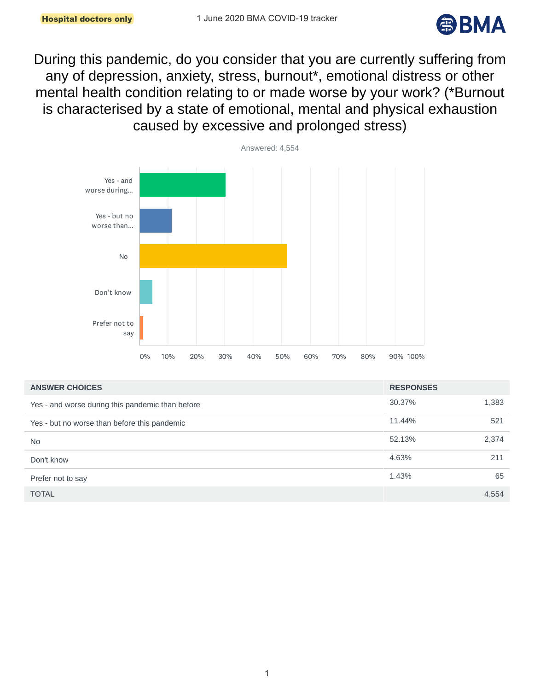

During this pandemic, do you consider that you are currently suffering from any of depression, anxiety, stress, burnout\*, emotional distress or other mental health condition relating to or made worse by your work? (\*Burnout is characterised by a state of emotional, mental and physical exhaustion caused by excessive and prolonged stress)



| <b>ANSWER CHOICES</b>                            | <b>RESPONSES</b> |       |
|--------------------------------------------------|------------------|-------|
| Yes - and worse during this pandemic than before | 30.37%           | 1,383 |
| Yes - but no worse than before this pandemic     | 11.44%           | 521   |
| <b>No</b>                                        | 52.13%           | 2,374 |
| Don't know                                       | 4.63%            | 211   |
| Prefer not to say                                | 1.43%            | 65    |
| <b>TOTAL</b>                                     |                  | 4.554 |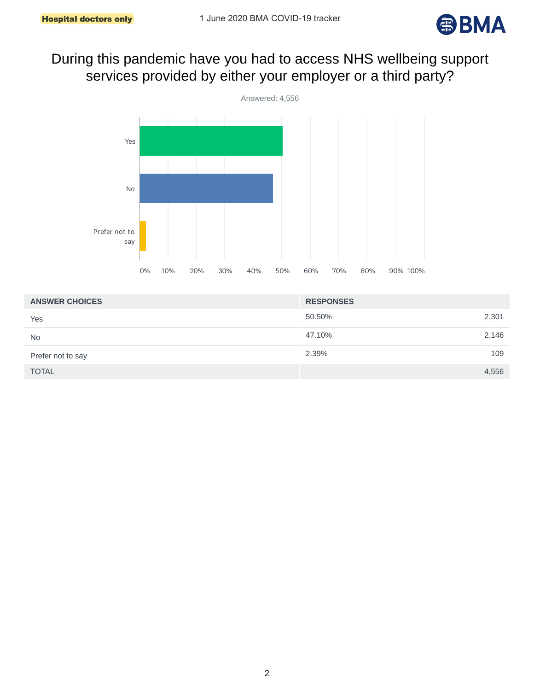

# During this pandemic have you had to access NHS wellbeing support services provided by either your employer or a third party?



| <b>ANSWER CHOICES</b> | <b>RESPONSES</b> |
|-----------------------|------------------|
| Yes                   | 50.50%<br>2,301  |
| <b>No</b>             | 2,146<br>47.10%  |
| Prefer not to say     | 109<br>2.39%     |
| <b>TOTAL</b>          | 4,556            |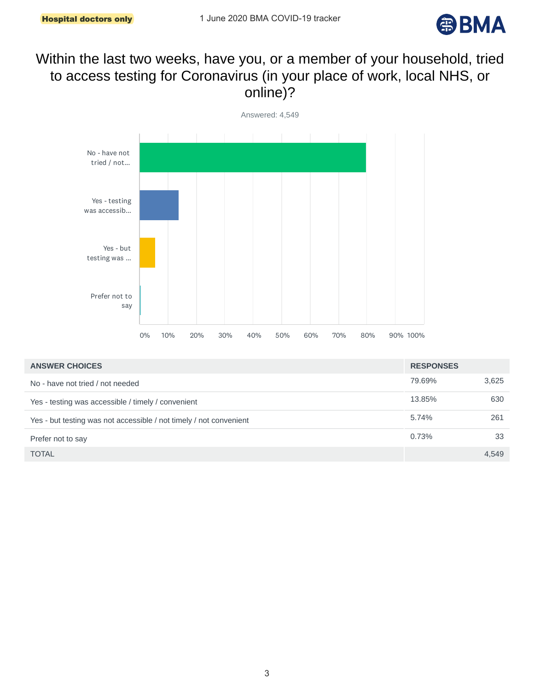

# Within the last two weeks, have you, or a member of your household, tried to access testing for Coronavirus (in your place of work, local NHS, or online)?



| <b>ANSWER CHOICES</b>                                              | <b>RESPONSES</b> |       |
|--------------------------------------------------------------------|------------------|-------|
| No - have not tried / not needed                                   | 79.69%           | 3,625 |
| Yes - testing was accessible / timely / convenient                 | 13.85%           | 630   |
| Yes - but testing was not accessible / not timely / not convenient | 5.74%            | 261   |
| Prefer not to say                                                  | 0.73%            | 33    |
| <b>TOTAL</b>                                                       |                  | 4,549 |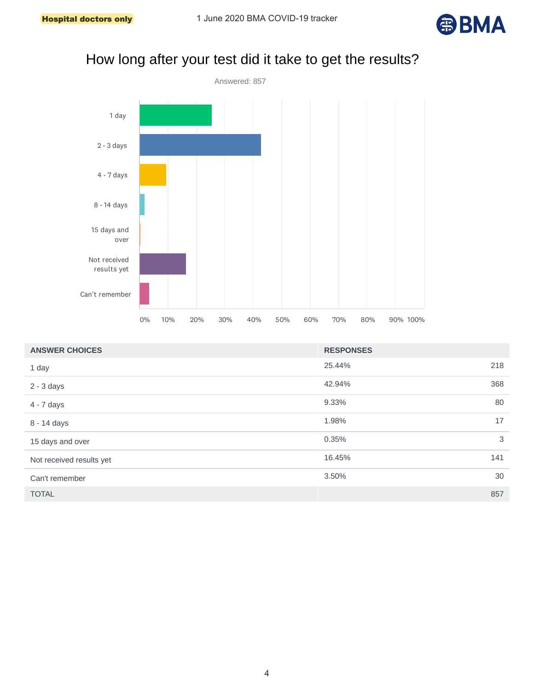

# How long after your test did it take to get the results?



| <b>ANSWER CHOICES</b>    | <b>RESPONSES</b> |     |
|--------------------------|------------------|-----|
| 1 day                    | 25.44%           | 218 |
| $2 - 3$ days             | 42.94%           | 368 |
| $4 - 7$ days             | 9.33%            | 80  |
| 8 - 14 days              | 1.98%            | 17  |
| 15 days and over         | 0.35%            | 3   |
| Not received results yet | 16.45%           | 141 |
| Can't remember           | 3.50%            | 30  |
| <b>TOTAL</b>             |                  | 857 |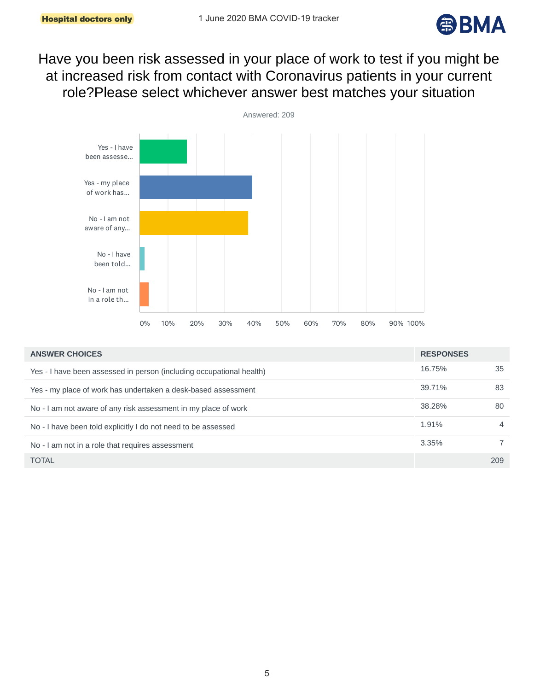

Have you been risk assessed in your place of work to test if you might be at increased risk from contact with Coronavirus patients in your current role?Please select whichever answer best matches your situation



| <b>ANSWER CHOICES</b>                                                | <b>RESPONSES</b> |                |
|----------------------------------------------------------------------|------------------|----------------|
| Yes - I have been assessed in person (including occupational health) | 16.75%           | 35             |
| Yes - my place of work has undertaken a desk-based assessment        | 39.71%           | 83             |
| No - I am not aware of any risk assessment in my place of work       | 38.28%           | 80             |
| No - I have been told explicitly I do not need to be assessed        | 1.91%            | $\overline{4}$ |
| No - I am not in a role that requires assessment                     | 3.35%            |                |
| <b>TOTAL</b>                                                         |                  | 209            |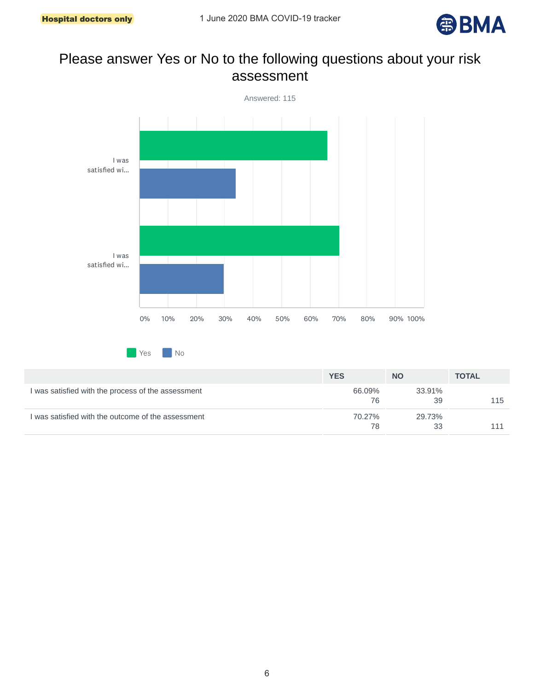

#### Please answer Yes or No to the following questions about your risk assessment



|                                                    | <b>YES</b>   | <b>NO</b>    | <b>TOTAL</b> |
|----------------------------------------------------|--------------|--------------|--------------|
| I was satisfied with the process of the assessment | 66.09%<br>76 | 33.91%<br>39 | 115          |
| I was satisfied with the outcome of the assessment | 70.27%<br>78 | 29.73%<br>33 |              |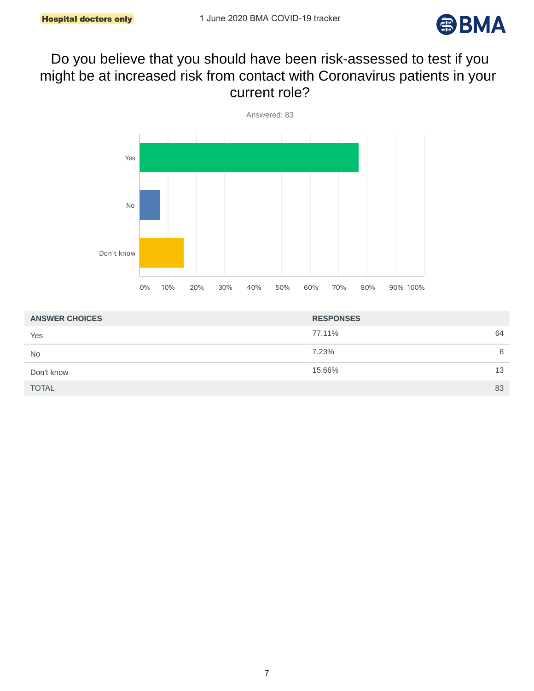

#### Do you believe that you should have been risk-assessed to test if you might be at increased risk from contact with Coronavirus patients in your current role?



| <b>ANSWER CHOICES</b> | <b>RESPONSES</b> |
|-----------------------|------------------|
| Yes                   | 64<br>77.11%     |
| <b>No</b>             | 7.23%<br>6       |
| Don't know            | 15.66%<br>13     |
| <b>TOTAL</b>          | 83               |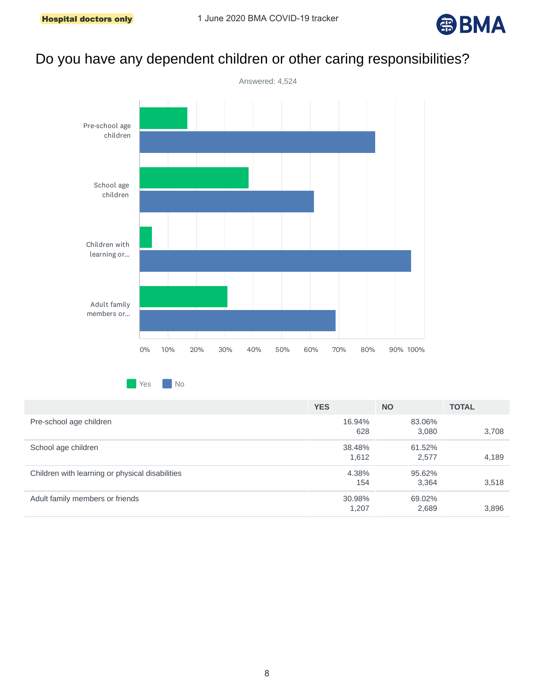

# Do you have any dependent children or other caring responsibilities?



**Yes** No

|                                                 | <b>YES</b> | <b>NO</b> | <b>TOTAL</b> |
|-------------------------------------------------|------------|-----------|--------------|
| Pre-school age children                         | 16.94%     | 83.06%    |              |
|                                                 | 628        | 3,080     | 3,708        |
| School age children                             | 38.48%     | 61.52%    |              |
|                                                 | 1,612      | 2,577     | 4,189        |
| Children with learning or physical disabilities | 4.38%      | 95.62%    |              |
|                                                 | 154        | 3,364     | 3,518        |
| Adult family members or friends                 | 30.98%     | 69.02%    |              |
|                                                 | 1,207      | 2,689     | 3,896        |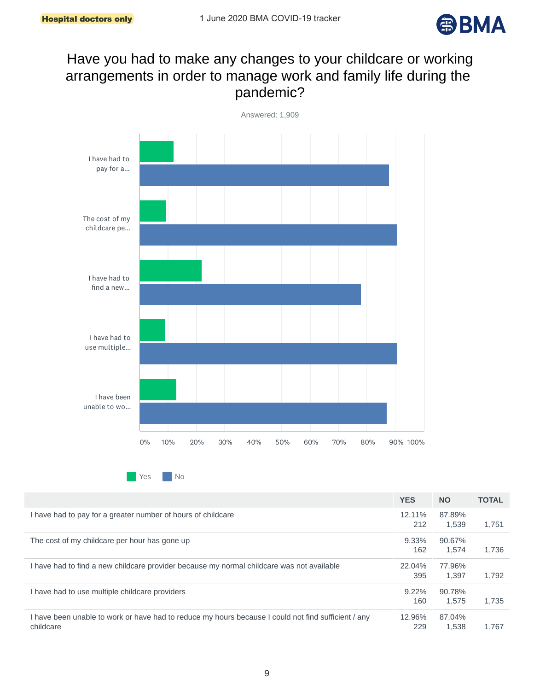

# Have you had to make any changes to your childcare or working arrangements in order to manage work and family life during the pandemic?



Yes No

|                                                                                                                  | <b>YES</b>      | <b>NO</b>       | <b>TOTAL</b> |
|------------------------------------------------------------------------------------------------------------------|-----------------|-----------------|--------------|
| I have had to pay for a greater number of hours of childcare                                                     | 12.11%<br>212   | 87.89%<br>1.539 | 1,751        |
| The cost of my childcare per hour has gone up                                                                    | 9.33%<br>162    | 90.67%<br>1.574 | 1.736        |
| I have had to find a new childcare provider because my normal childcare was not available                        | 22.04%<br>395   | 77.96%<br>1.397 | 1.792        |
| I have had to use multiple childcare providers                                                                   | $9.22\%$<br>160 | 90.78%<br>1.575 | 1.735        |
| I have been unable to work or have had to reduce my hours because I could not find sufficient / any<br>childcare | 12.96%<br>229   | 87.04%<br>1.538 | 1.767        |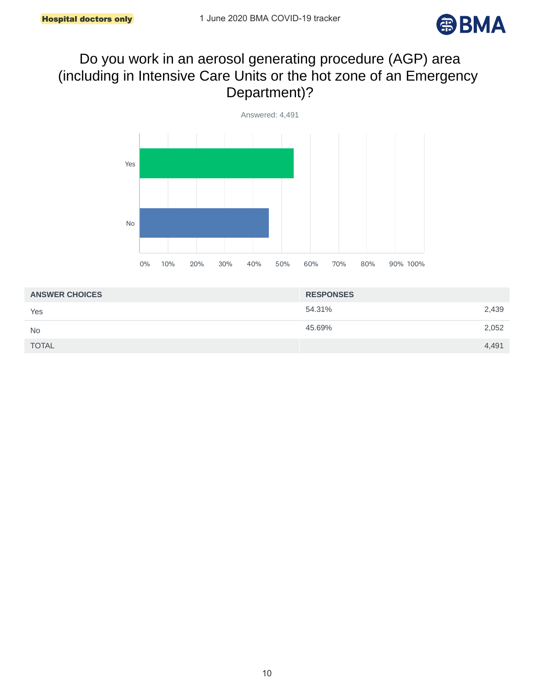

# Do you work in an aerosol generating procedure (AGP) area (including in Intensive Care Units or the hot zone of an Emergency Department)?



| <b>ANSWER CHOICES</b> | <b>RESPONSES</b> |       |
|-----------------------|------------------|-------|
| Yes                   | 54.31%           | 2,439 |
| <b>No</b>             | 45.69%           | 2,052 |
| <b>TOTAL</b>          |                  | 4,491 |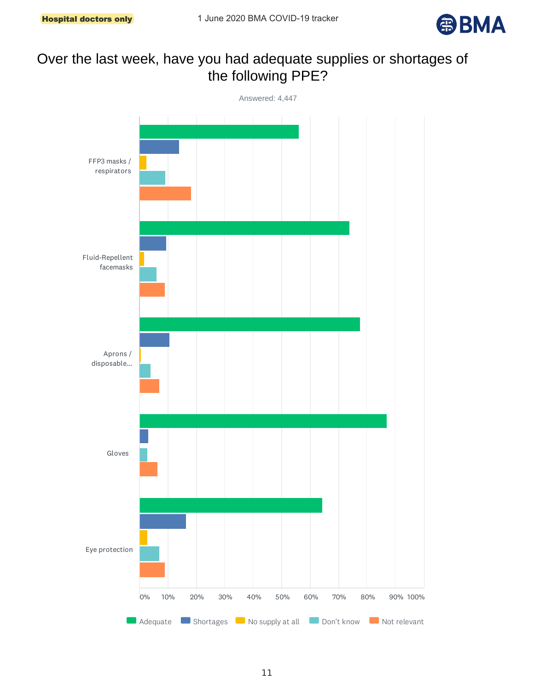

# Over the last week, have you had adequate supplies or shortages of the following PPE?

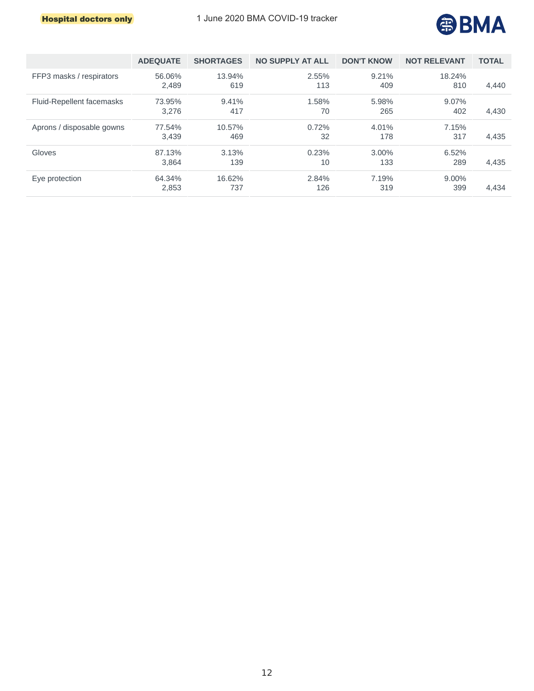

|                           | <b>ADEOUATE</b> | <b>SHORTAGES</b> | <b>NO SUPPLY AT ALL</b> | <b>DON'T KNOW</b> | <b>NOT RELEVANT</b> | <b>TOTAL</b> |
|---------------------------|-----------------|------------------|-------------------------|-------------------|---------------------|--------------|
| FFP3 masks / respirators  | 56.06%<br>2.489 | 13.94%<br>619    | 2.55%<br>113            | 9.21%<br>409      | 18.24%<br>810       | 4.440        |
| Fluid-Repellent facemasks | 73.95%<br>3.276 | 9.41%<br>417     | 1.58%<br>70             | 5.98%<br>265      | 9.07%<br>402        | 4,430        |
| Aprons / disposable gowns | 77.54%<br>3.439 | 10.57%<br>469    | 0.72%<br>32             | 4.01%<br>178      | 7.15%<br>317        | 4,435        |
| Gloves                    | 87.13%<br>3.864 | 3.13%<br>139     | 0.23%<br>10             | 3.00%<br>133      | 6.52%<br>289        | 4,435        |
| Eye protection            | 64.34%<br>2,853 | 16.62%<br>737    | 2.84%<br>126            | 7.19%<br>319      | 9.00%<br>399        | 4.434        |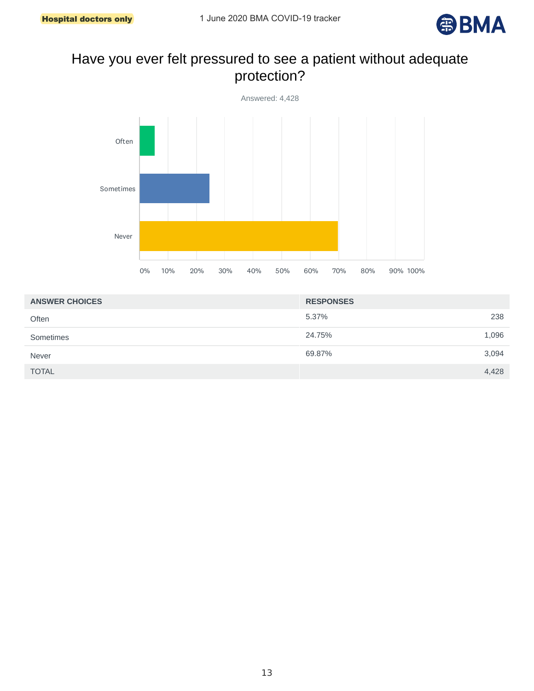

# Have you ever felt pressured to see a patient without adequate protection?



| <b>ANSWER CHOICES</b> | <b>RESPONSES</b> |
|-----------------------|------------------|
| Often                 | 238<br>5.37%     |
| Sometimes             | 1,096<br>24.75%  |
| <b>Never</b>          | 3,094<br>69.87%  |
| <b>TOTAL</b>          | 4,428            |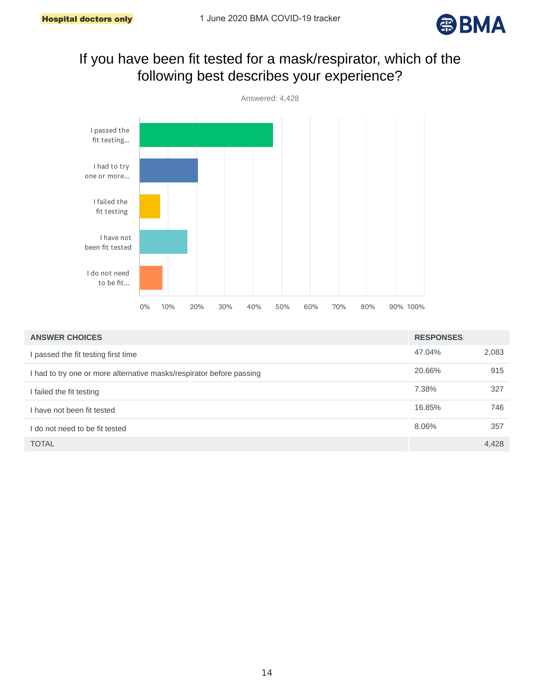

# If you have been fit tested for a mask/respirator, which of the following best describes your experience?



| <b>ANSWER CHOICES</b>                                                | <b>RESPONSES</b> |       |
|----------------------------------------------------------------------|------------------|-------|
| passed the fit testing first time                                    | 47.04%           | 2,083 |
| I had to try one or more alternative masks/respirator before passing | 20.66%           | 915   |
| I failed the fit testing                                             | 7.38%            | 327   |
| I have not been fit tested                                           | 16.85%           | 746   |
| I do not need to be fit tested                                       | 8.06%            | 357   |
| <b>TOTAL</b>                                                         |                  | 4,428 |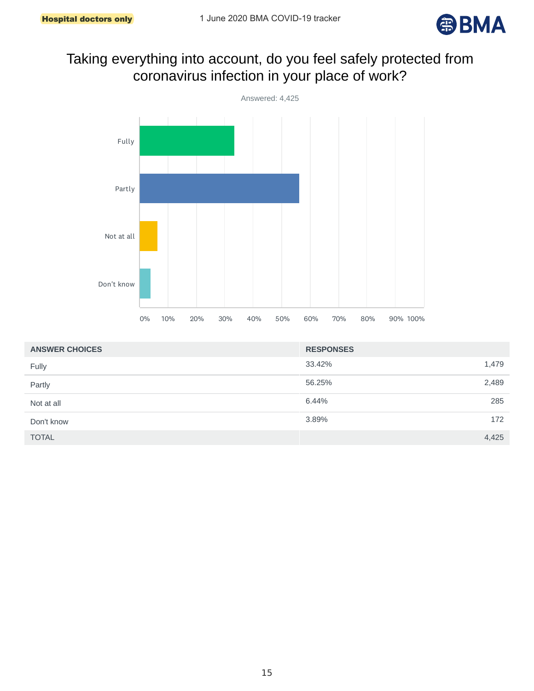

# Taking everything into account, do you feel safely protected from coronavirus infection in your place of work?



| <b>ANSWER CHOICES</b> | <b>RESPONSES</b> |  |
|-----------------------|------------------|--|
| Fully                 | 33.42%<br>1,479  |  |
| Partly                | 2,489<br>56.25%  |  |
| Not at all            | 6.44%<br>285     |  |
| Don't know            | 172<br>3.89%     |  |
| <b>TOTAL</b>          | 4,425            |  |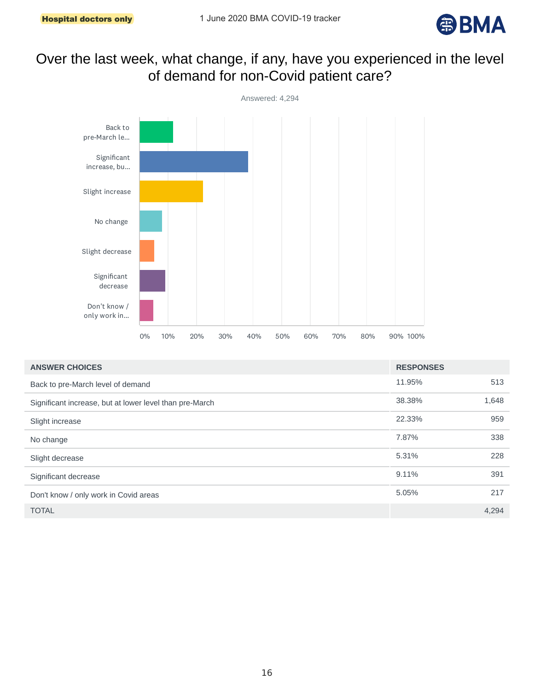

# Over the last week, what change, if any, have you experienced in the level of demand for non-Covid patient care?



| <b>ANSWER CHOICES</b>                                   | <b>RESPONSES</b> |       |
|---------------------------------------------------------|------------------|-------|
| Back to pre-March level of demand                       | 11.95%           | 513   |
| Significant increase, but at lower level than pre-March | 38.38%           | 1,648 |
| Slight increase                                         | 22.33%           | 959   |
| No change                                               | 7.87%            | 338   |
| Slight decrease                                         | 5.31%            | 228   |
| Significant decrease                                    | 9.11%            | 391   |
| Don't know / only work in Covid areas                   | 5.05%            | 217   |
| <b>TOTAL</b>                                            |                  | 4,294 |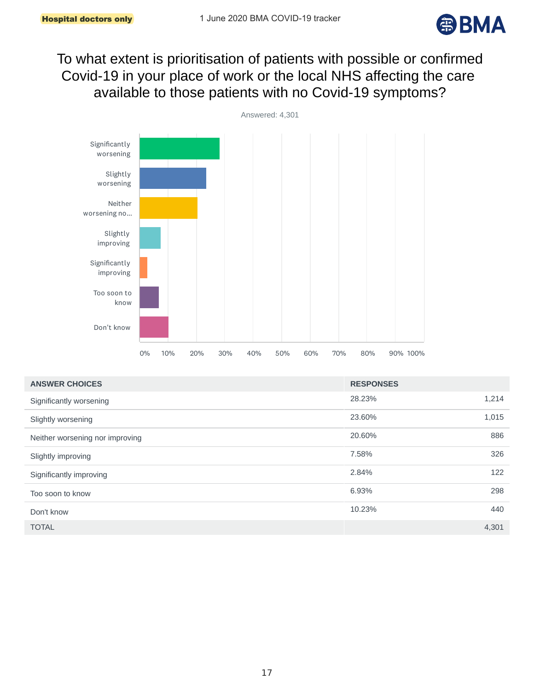

To what extent is prioritisation of patients with possible or confirmed Covid-19 in your place of work or the local NHS affecting the care available to those patients with no Covid-19 symptoms?



| <b>ANSWER CHOICES</b>           | <b>RESPONSES</b> |       |
|---------------------------------|------------------|-------|
| Significantly worsening         | 28.23%           | 1,214 |
| Slightly worsening              | 23.60%           | 1,015 |
| Neither worsening nor improving | 20.60%           | 886   |
| Slightly improving              | 7.58%            | 326   |
| Significantly improving         | 2.84%            | 122   |
| Too soon to know                | 6.93%            | 298   |
| Don't know                      | 10.23%           | 440   |
| <b>TOTAL</b>                    |                  | 4,301 |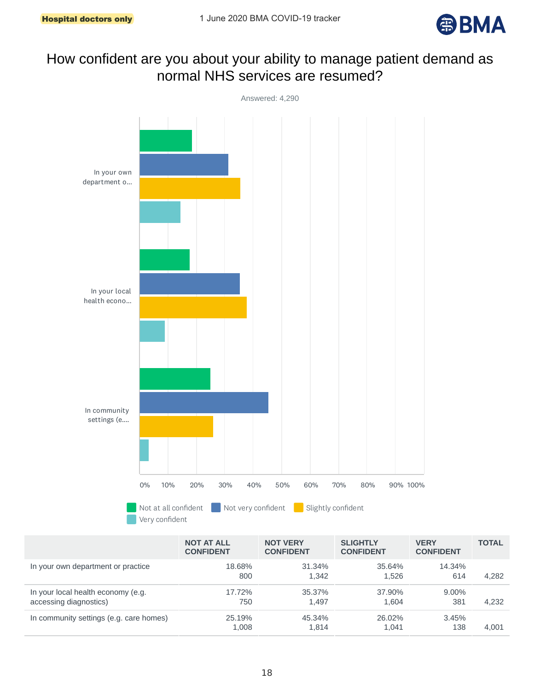

### How confident are you about your ability to manage patient demand as normal NHS services are resumed?



|                                                              | <b>NOT AT ALL</b><br><b>CONFIDENT</b> | <b>NOT VERY</b><br><b>CONFIDENT</b> | <b>SLIGHTLY</b><br><b>CONFIDENT</b> | <b>VERY</b><br><b>CONFIDENT</b> | <b>TOTAL</b> |
|--------------------------------------------------------------|---------------------------------------|-------------------------------------|-------------------------------------|---------------------------------|--------------|
| In your own department or practice                           | 18.68%<br>800                         | 31.34%<br>1.342                     | 35.64%<br>1.526                     | 14.34%<br>614                   | 4.282        |
| In your local health economy (e.g.<br>accessing diagnostics) | 17.72%<br>750                         | 35.37%<br>1.497                     | 37.90%<br>1.604                     | $9.00\%$<br>381                 | 4.232        |
| In community settings (e.g. care homes)                      | 25.19%<br>1.008                       | 45.34%<br>1.814                     | 26.02%<br>1.041                     | 3.45%<br>138                    | 4.001        |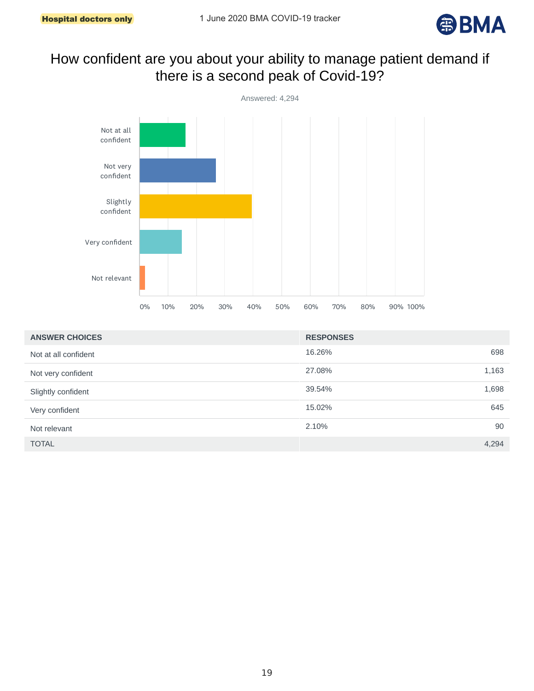

# How confident are you about your ability to manage patient demand if there is a second peak of Covid-19?



| <b>ANSWER CHOICES</b> | <b>RESPONSES</b> |       |
|-----------------------|------------------|-------|
| Not at all confident  | 16.26%           | 698   |
| Not very confident    | 27.08%           | 1,163 |
| Slightly confident    | 39.54%           | 1,698 |
| Very confident        | 15.02%           | 645   |
| Not relevant          | 2.10%            | 90    |
| <b>TOTAL</b>          |                  | 4,294 |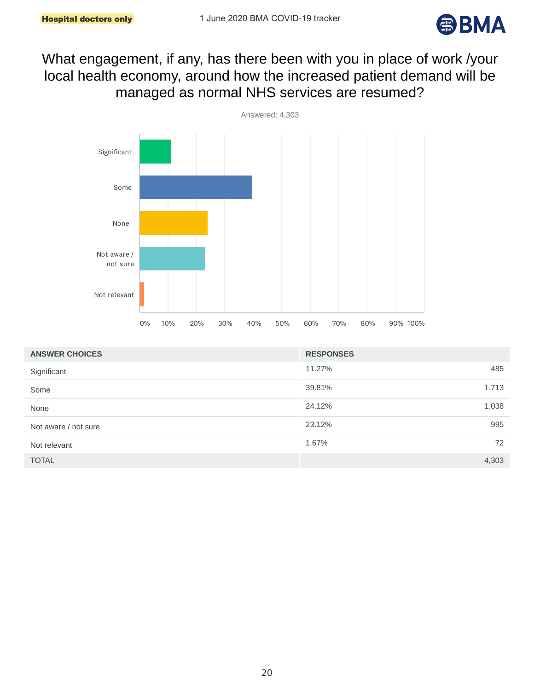

# What engagement, if any, has there been with you in place of work /your local health economy, around how the increased patient demand will be managed as normal NHS services are resumed?



| <b>ANSWER CHOICES</b> | <b>RESPONSES</b> |       |
|-----------------------|------------------|-------|
| Significant           | 11.27%           | 485   |
| Some                  | 39.81%           | 1,713 |
| None                  | 24.12%           | 1,038 |
| Not aware / not sure  | 23.12%           | 995   |
| Not relevant          | 1.67%            | 72    |
| <b>TOTAL</b>          |                  | 4,303 |

20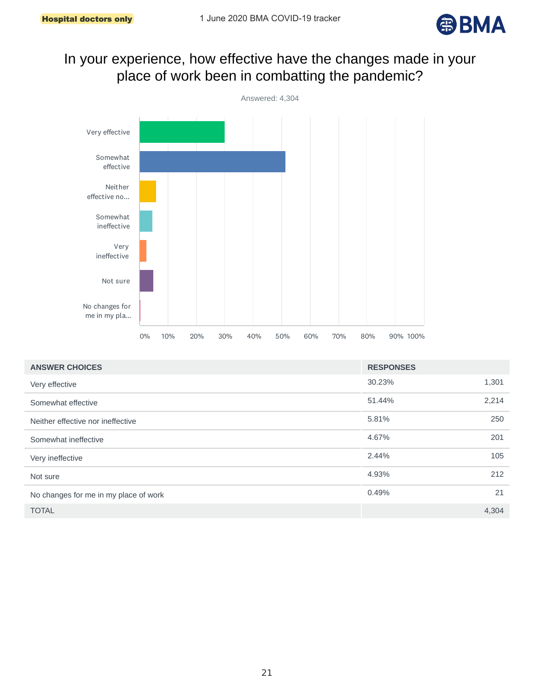

# In your experience, how effective have the changes made in your place of work been in combatting the pandemic?



| <b>ANSWER CHOICES</b>                 | <b>RESPONSES</b> |       |
|---------------------------------------|------------------|-------|
| Very effective                        | 30.23%           | 1,301 |
| Somewhat effective                    | 51.44%           | 2,214 |
| Neither effective nor ineffective     | 5.81%            | 250   |
| Somewhat ineffective                  | 4.67%            | 201   |
| Very ineffective                      | 2.44%            | 105   |
| Not sure                              | 4.93%            | 212   |
| No changes for me in my place of work | 0.49%            | 21    |
| <b>TOTAL</b>                          |                  | 4,304 |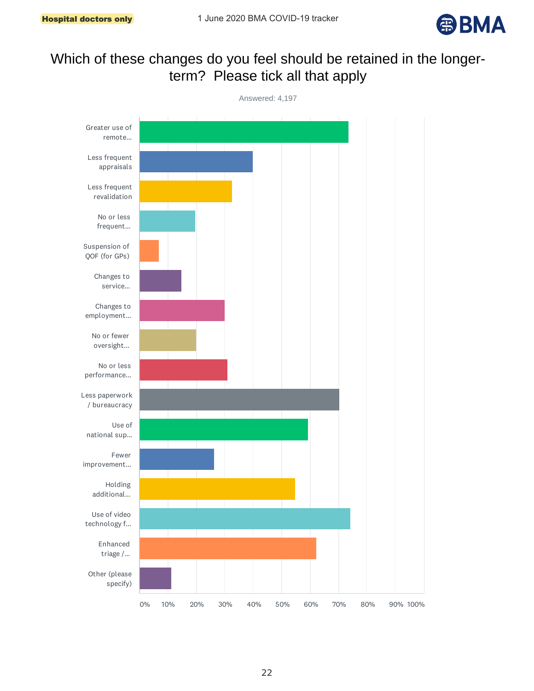

# Which of these changes do you feel should be retained in the longerterm? Please tick all that apply

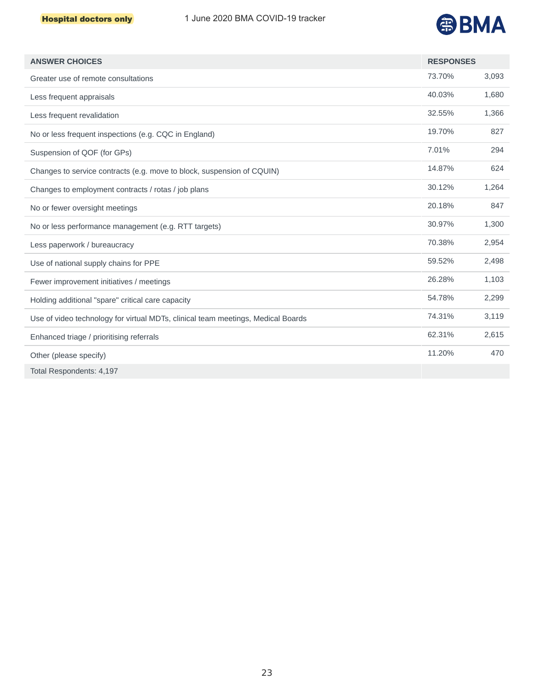

| <b>ANSWER CHOICES</b>                                                            | <b>RESPONSES</b> |       |
|----------------------------------------------------------------------------------|------------------|-------|
| Greater use of remote consultations                                              | 73.70%           | 3,093 |
| Less frequent appraisals                                                         | 40.03%           | 1,680 |
| Less frequent revalidation                                                       | 32.55%           | 1,366 |
| No or less frequent inspections (e.g. CQC in England)                            | 19.70%           | 827   |
| Suspension of QOF (for GPs)                                                      | 7.01%            | 294   |
| Changes to service contracts (e.g. move to block, suspension of CQUIN)           | 14.87%           | 624   |
| Changes to employment contracts / rotas / job plans                              | 30.12%           | 1,264 |
| No or fewer oversight meetings                                                   | 20.18%           | 847   |
| No or less performance management (e.g. RTT targets)                             | 30.97%           | 1,300 |
| Less paperwork / bureaucracy                                                     | 70.38%           | 2,954 |
| Use of national supply chains for PPE                                            | 59.52%           | 2,498 |
| Fewer improvement initiatives / meetings                                         | 26.28%           | 1,103 |
| Holding additional "spare" critical care capacity                                | 54.78%           | 2,299 |
| Use of video technology for virtual MDTs, clinical team meetings, Medical Boards | 74.31%           | 3,119 |
| Enhanced triage / prioritising referrals                                         | 62.31%           | 2,615 |
| Other (please specify)                                                           | 11.20%           | 470   |
| Total Respondents: 4,197                                                         |                  |       |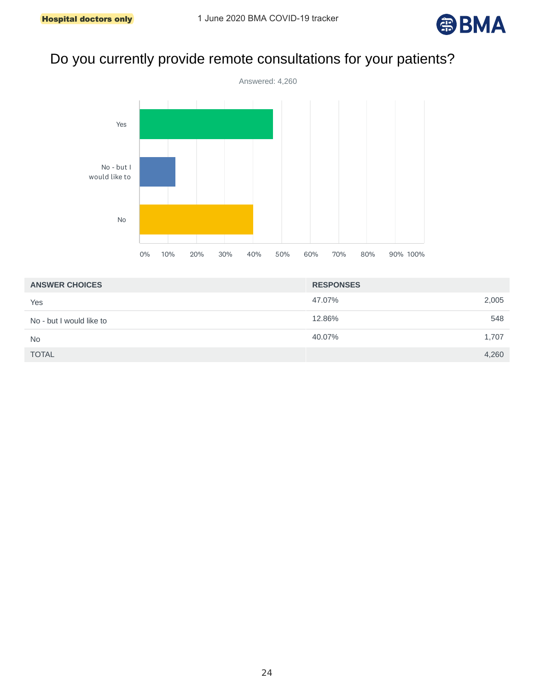

# Do you currently provide remote consultations for your patients?



| <b>ANSWER CHOICES</b>    | <b>RESPONSES</b> |
|--------------------------|------------------|
| Yes                      | 47.07%<br>2,005  |
| No - but I would like to | 12.86%<br>548    |
| No                       | 40.07%<br>1,707  |
| <b>TOTAL</b>             | 4,260            |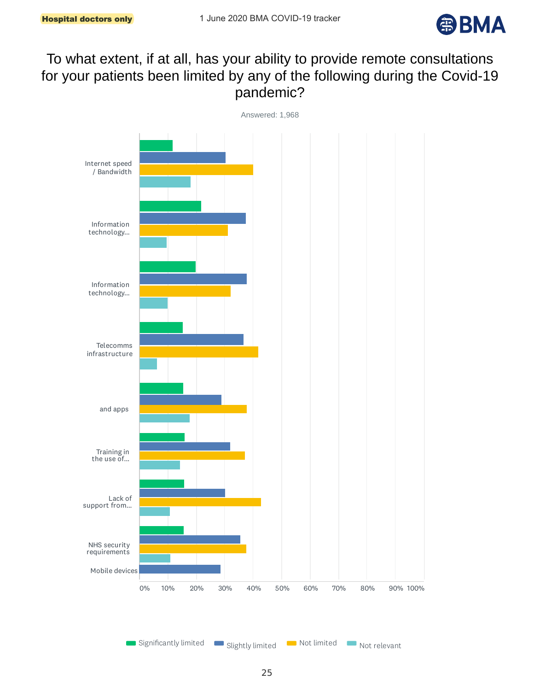

# To what extent, if at all, has your ability to provide remote consultations for your patients been limited by any of the following during the Covid-19 pandemic?

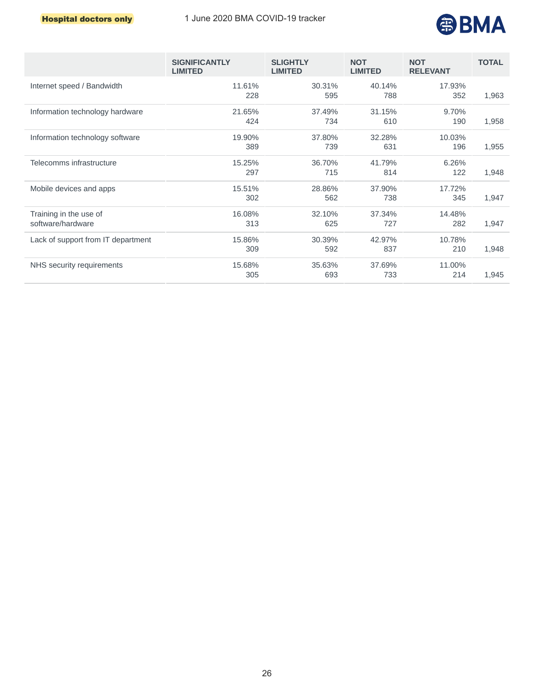

|                                             | <b>SIGNIFICANTLY</b><br><b>LIMITED</b> | <b>SLIGHTLY</b><br><b>LIMITED</b> | <b>NOT</b><br><b>LIMITED</b> | <b>NOT</b><br><b>RELEVANT</b> | <b>TOTAL</b> |
|---------------------------------------------|----------------------------------------|-----------------------------------|------------------------------|-------------------------------|--------------|
| Internet speed / Bandwidth                  | 11.61%<br>228                          | 30.31%<br>595                     | 40.14%<br>788                | 17.93%<br>352                 | 1,963        |
| Information technology hardware             | 21.65%<br>424                          | 37.49%<br>734                     | 31.15%<br>610                | 9.70%<br>190                  | 1,958        |
| Information technology software             | 19.90%<br>389                          | 37.80%<br>739                     | 32.28%<br>631                | 10.03%<br>196                 | 1,955        |
| Telecomms infrastructure                    | 15.25%<br>297                          | 36.70%<br>715                     | 41.79%<br>814                | 6.26%<br>122                  | 1,948        |
| Mobile devices and apps                     | 15.51%<br>302                          | 28.86%<br>562                     | 37.90%<br>738                | 17.72%<br>345                 | 1,947        |
| Training in the use of<br>software/hardware | 16.08%<br>313                          | 32.10%<br>625                     | 37.34%<br>727                | 14.48%<br>282                 | 1,947        |
| Lack of support from IT department          | 15.86%<br>309                          | 30.39%<br>592                     | 42.97%<br>837                | 10.78%<br>210                 | 1,948        |
| NHS security requirements                   | 15.68%<br>305                          | 35.63%<br>693                     | 37.69%<br>733                | 11.00%<br>214                 | 1,945        |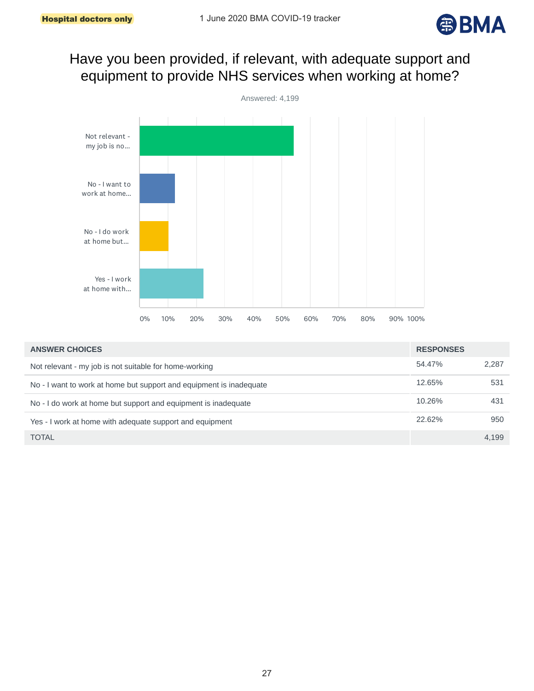

#### Have you been provided, if relevant, with adequate support and equipment to provide NHS services when working at home?



| <b>ANSWER CHOICES</b>                                               | <b>RESPONSES</b> |       |
|---------------------------------------------------------------------|------------------|-------|
| Not relevant - my job is not suitable for home-working              | 54.47%           | 2.287 |
| No - I want to work at home but support and equipment is inadequate | 12.65%           | 531   |
| No - I do work at home but support and equipment is inadequate      | 10.26%           | 431   |
| Yes - I work at home with adequate support and equipment            | 22.62%           | 950   |
| <b>TOTAL</b>                                                        |                  | 4.199 |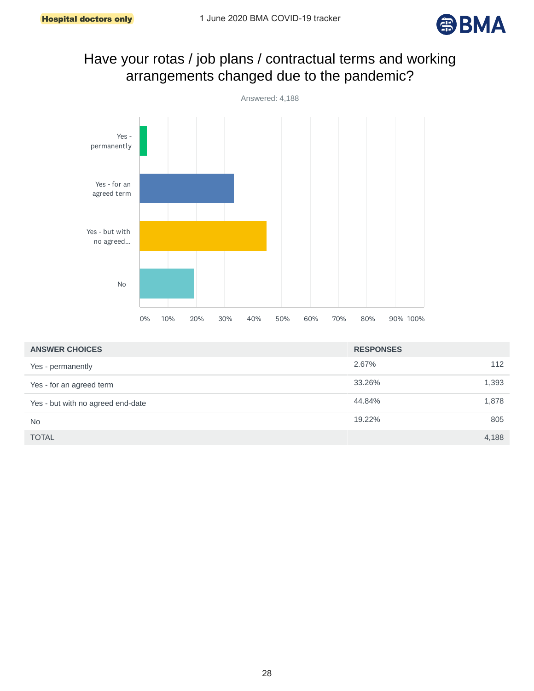

# Have your rotas / job plans / contractual terms and working arrangements changed due to the pandemic?



| <b>ANSWER CHOICES</b>             | <b>RESPONSES</b> |  |
|-----------------------------------|------------------|--|
| Yes - permanently                 | 2.67%<br>112     |  |
| Yes - for an agreed term          | 33.26%<br>1,393  |  |
| Yes - but with no agreed end-date | 44.84%<br>1,878  |  |
| <b>No</b>                         | 805<br>19.22%    |  |
| <b>TOTAL</b>                      | 4,188            |  |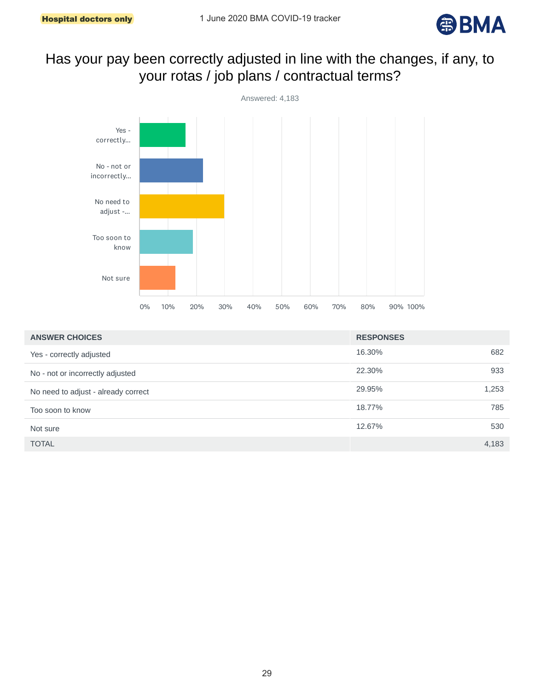

# Has your pay been correctly adjusted in line with the changes, if any, to your rotas / job plans / contractual terms?



| <b>ANSWER CHOICES</b>               | <b>RESPONSES</b> |       |
|-------------------------------------|------------------|-------|
| Yes - correctly adjusted            | 16.30%           | 682   |
| No - not or incorrectly adjusted    | 22.30%           | 933   |
| No need to adjust - already correct | 29.95%           | 1,253 |
| Too soon to know                    | 18.77%           | 785   |
| Not sure                            | 12.67%           | 530   |
| <b>TOTAL</b>                        |                  | 4,183 |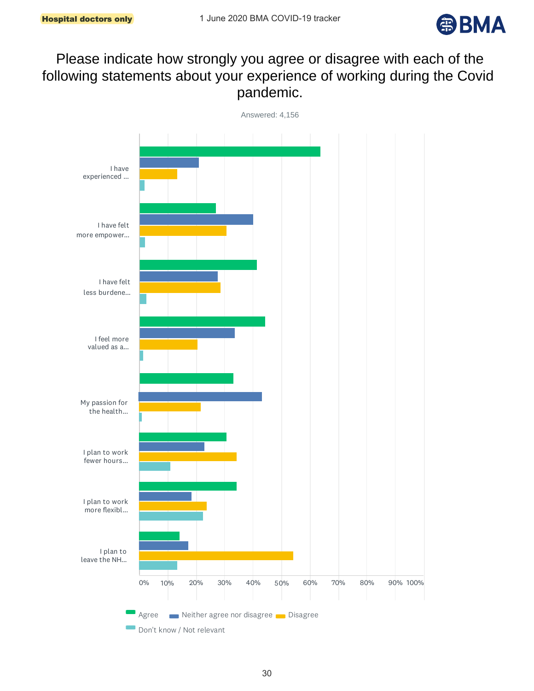

# Please indicate how strongly you agree or disagree with each of the following statements about your experience of working during the Covid pandemic.